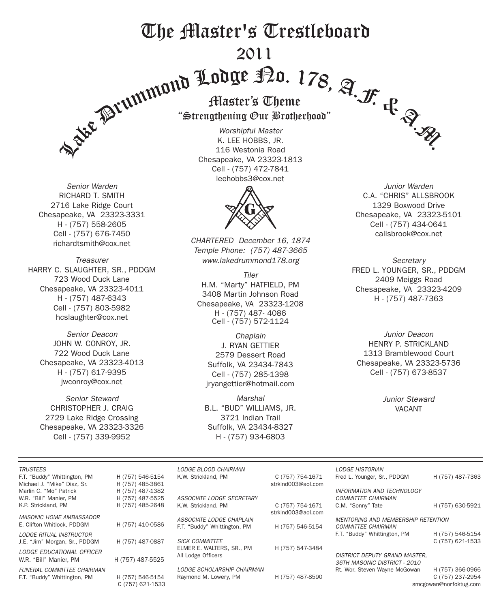# The Master's Trestleboard 2011



*Senior Warden* RICHARD T. SMITH 2716 Lake Ridge Court Chesapeake, VA 23323-3331 H - (757) 558-2605 Cell - (757) 676-7450 richardtsmith@cox.net

*Treasurer* HARRY C. SLAUGHTER, SR., PDDGM 723 Wood Duck Lane Chesapeake, VA 23323-4011 H - (757) 487-6343 Cell - (757) 803-5982 hcslaughter@cox.net

*Senior Deacon* JOHN W. CONROY, JR. 722 Wood Duck Lane Chesapeake, VA 23323-4013 H - (757) 617-9395 jwconroy@cox.net

*Senior Steward* CHRISTOPHER J. CRAIG 2729 Lake Ridge Crossing Chesapeake, VA 23323-3326 Cell - (757) 339-9952

"Strengthening Our Brotherhood"

*Worshipful Master* K. LEE HOBBS, JR. 116 Westonia Road Chesapeake, VA 23323-1813 Cell - (757) 472-7841 leehobbs3@cox.net



*CHARTERED December 16, 1874 Temple Phone: (757) 487-3665 www.lakedrummond178.org*

*Tiler* H.M. "Marty" HATFIELD, PM 3408 Martin Johnson Road Chesapeake, VA 23323-1208 H - (757) 487- 4086 Cell - (757) 572-1124

*Chaplain* J. RYAN GETTIER 2579 Dessert Road Suffolk, VA 23434-7843 Cell - (757) 285-1398 jryangettier@hotmail.com

*Marshal* B.L. "BUD" WILLIAMS, JR. 3721 Indian Trail Suffolk, VA 23434-8327 H - (757) 934-6803

*Junior Warden* C.A. "CHRIS" ALLSBROOK 1329 Boxwood Drive Chesapeake, VA 23323-5101 Cell - (757) 434-0641 callsbrook@cox.net

*Secretary* FRED L. YOUNGER, SR., PDDGM 2409 Meiggs Road Chesapeake, VA 23323-4209 H - (757) 487-7363

*Junior Deacon* HENRY P. STRICKLAND 1313 Bramblewood Court Chesapeake, VA 23323-5736 Cell - (757) 673-8537

> *Junior Steward* VACANT

| <b>TRUSTEES</b><br>F.T. "Buddy" Whittington, PM | H (757) 546-5154 | LODGE BLOOD CHAIRMAN<br>K.W. Strickland, PM | C (757) 754-1671   | LODGE HISTORIAN<br>Fred L. Younger, Sr., PDDGM | H (757) 487-7363 |  |
|-------------------------------------------------|------------------|---------------------------------------------|--------------------|------------------------------------------------|------------------|--|
| Michael J. "Mike" Diaz. Sr.                     | H (757) 485-3861 |                                             | strkInd003@aoLcom  |                                                |                  |  |
| Marlin C. "Mo" Patrick                          | H (757) 487-1382 |                                             |                    | INFORMATION AND TECHNOLOGY                     |                  |  |
| W.R. "Bill" Manier, PM                          | H (757) 487-5525 | ASSOCIATE LODGE SECRETARY                   |                    | <b>COMMITTEE CHAIRMAN</b>                      |                  |  |
| K.P. Strickland. PM                             | H (757) 485-2648 | K.W. Strickland, PM                         | C (757) 754-1671   | C.M. "Sonny" Tate                              | H (757) 630-5921 |  |
|                                                 |                  |                                             | strkInd003@aol.com |                                                |                  |  |
| <b>MASONIC HOME AMBASSADOR</b>                  |                  | ASSOCIATE LODGE CHAPLAIN                    |                    | <b>MENTORING AND MEMBERSHIP RETENTION</b>      |                  |  |
| E. Clifton Whitlock, PDDGM                      | H (757) 410-0586 | F.T. "Buddy" Whittington, PM                | H (757) 546-5154   | <b>COMMITTEE CHAIRMAN</b>                      |                  |  |
| LODGE RITUAL INSTRUCTOR                         |                  |                                             |                    | F.T. "Buddy" Whittington, PM                   | H (757) 546-5154 |  |
| J.E. "Jim" Morgan, Sr., PDDGM                   | H (757) 487-0887 | <b>SICK COMMITTEE</b>                       |                    |                                                | C (757) 621-1533 |  |
|                                                 |                  | ELMER E. WALTERS, SR., PM                   | H (757) 547-3484   |                                                |                  |  |
| <b>LODGE EDUCATIONAL OFFICER</b>                | H (757) 487-5525 | All Lodge Officers                          |                    | <b>DISTRICT DEPUTY GRAND MASTER.</b>           |                  |  |
| W.R. "Bill" Manier. PM                          |                  |                                             |                    | 36TH MASONIC DISTRICT - 2010                   |                  |  |
| <b>FUNERAL COMMITTEE CHAIRMAN</b>               |                  | LODGE SCHOLARSHIP CHAIRMAN                  |                    | Rt. Wor. Steven Wayne McGowan                  | H (757) 366-0966 |  |
| F.T. "Buddy" Whittington, PM                    | H (757) 546-5154 | Raymond M. Lowery, PM                       | H (757) 487-8590   |                                                | C (757) 237-2954 |  |
|                                                 | C (757) 621-1533 |                                             |                    | smcgowan@norfoktug.com                         |                  |  |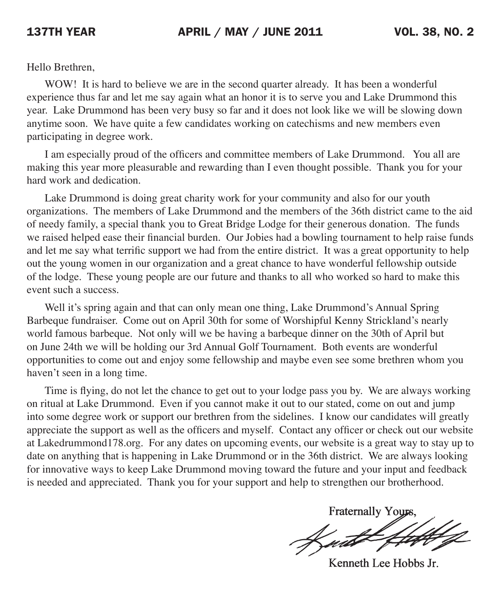Hello Brethren,

WOW! It is hard to believe we are in the second quarter already. It has been a wonderful experience thus far and let me say again what an honor it is to serve you and Lake Drummond this year. Lake Drummond has been very busy so far and it does not look like we will be slowing down anytime soon. We have quite a few candidates working on catechisms and new members even participating in degree work.

 I am especially proud of the officers and committee members of Lake Drummond. You all are making this year more pleasurable and rewarding than I even thought possible. Thank you for your hard work and dedication.

Lake Drummond is doing great charity work for your community and also for our youth organizations. The members of Lake Drummond and the members of the 36th district came to the aid of needy family, a special thank you to Great Bridge Lodge for their generous donation. The funds we raised helped ease their financial burden. Our Jobies had a bowling tournament to help raise funds and let me say what terrific support we had from the entire district. It was a great opportunity to help out the young women in our organization and a great chance to have wonderful fellowship outside of the lodge. These young people are our future and thanks to all who worked so hard to make this event such a success.

Well it's spring again and that can only mean one thing, Lake Drummond's Annual Spring Barbeque fundraiser. Come out on April 30th for some of Worshipful Kenny Strickland's nearly world famous barbeque. Not only will we be having a barbeque dinner on the 30th of April but on June 24th we will be holding our 3rd Annual Golf Tournament. Both events are wonderful opportunities to come out and enjoy some fellowship and maybe even see some brethren whom you haven't seen in a long time.

 Time is flying, do not let the chance to get out to your lodge pass you by. We are always working on ritual at Lake Drummond. Even if you cannot make it out to our stated, come on out and jump into some degree work or support our brethren from the sidelines. I know our candidates will greatly appreciate the support as well as the officers and myself. Contact any officer or check out our website at Lakedrummond178.org. For any dates on upcoming events, our website is a great way to stay up to date on anything that is happening in Lake Drummond or in the 36th district. We are always looking for innovative ways to keep Lake Drummond moving toward the future and your input and feedback is needed and appreciated. Thank you for your support and help to strengthen our brotherhood.

**Fraternally Yours** 

Kenneth Lee Hobbs Jr.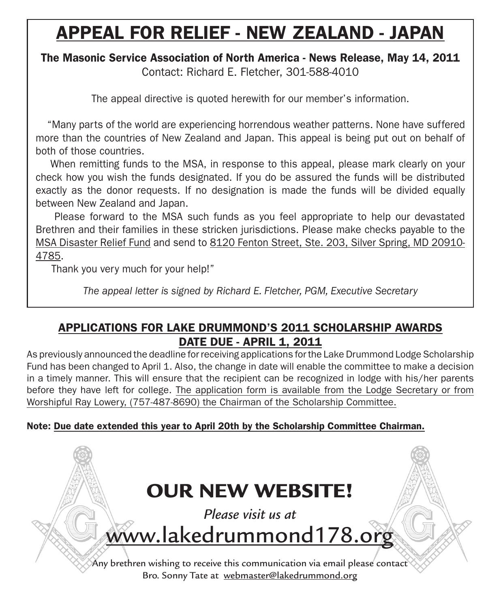# APPEAL FOR RELIEF - NEW ZEALAND - JAPAN

# The Masonic Service Association of North America - News Release, May 14, 2011

Contact: Richard E. Fletcher, 301-588-4010

The appeal directive is quoted herewith for our member's information.

 "Many parts of the world are experiencing horrendous weather patterns. None have suffered more than the countries of New Zealand and Japan. This appeal is being put out on behalf of both of those countries.

 When remitting funds to the MSA, in response to this appeal, please mark clearly on your check how you wish the funds designated. If you do be assured the funds will be distributed exactly as the donor requests. If no designation is made the funds will be divided equally between New Zealand and Japan.

 Please forward to the MSA such funds as you feel appropriate to help our devastated Brethren and their families in these stricken jurisdictions. Please make checks payable to the MSA Disaster Relief Fund and send to 8120 Fenton Street, Ste. 203, Silver Spring, MD 20910- 4785.

Thank you very much for your help!"

*The appeal letter is signed by Richard E. Fletcher, PGM, Executive Secretary*

# APPLICATIONS FOR LAKE DRUMMOND'S 2011 SCHOLARSHIP AWARDS **DATE DUE - APRIL 1, 2011**

As previously announced the deadline for receiving applications for the Lake Drummond Lodge Scholarship Fund has been changed to April 1. Also, the change in date will enable the committee to make a decision in a timely manner. This will ensure that the recipient can be recognized in lodge with his/her parents before they have left for college. The application form is available from the Lodge Secretary or from Worshipful Ray Lowery, (757-487-8690) the Chairman of the Scholarship Committee.

Note: Due date extended this year to April 20th by the Scholarship Committee Chairman.

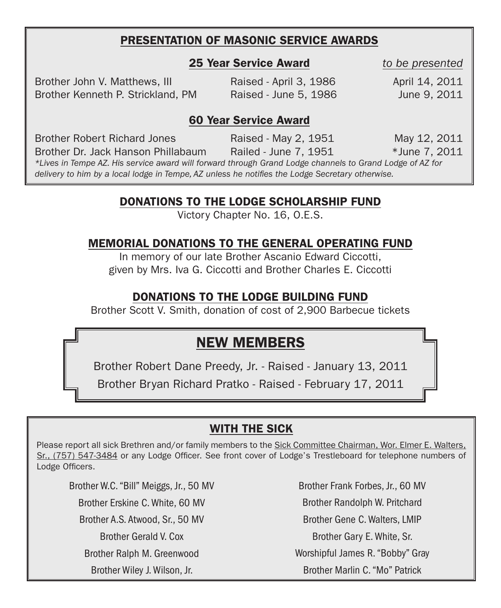# PRESENTATION OF MASONIC SERVICE AWARDS

#### 25 Year Service Award *to be presented*

Brother John V. Matthews, III Raised - April 3, 1986 April 14, 2011 Brother Kenneth P. Strickland, PM Raised - June 5, 1986 June 9, 2011

#### 60 Year Service Award

Brother Robert Richard Jones Raised - May 2, 1951 May 12, 2011

Brother Dr. Jack Hanson Phillabaum Railed - June 7, 1951 \*June 7, 2011

*\*Lives in Tempe AZ. His service award will forward through Grand Lodge channels to Grand Lodge of AZ for delivery to him by a local lodge in Tempe, AZ unless he notifies the Lodge Secretary otherwise.*

### DONATIONS to the Lodge scholarship fund

Victory Chapter No. 16, O.E.S.

# MEMORIAL DONATIONS to the GENERAL OPERATING fund

In memory of our late Brother Ascanio Edward Ciccotti, given by Mrs. Iva G. Ciccotti and Brother Charles E. Ciccotti

# DONATIONS to the LODGE BUILDING fund

Brother Scott V. Smith, donation of cost of 2,900 Barbecue tickets

# NEW MEMBERS

Brother Robert Dane Preedy, Jr. - Raised - January 13, 2011

Brother Bryan Richard Pratko - Raised - February 17, 2011

# WITH THE SICK

Please report all sick Brethren and/or family members to the Sick Committee Chairman, Wor. Elmer E. Walters, Sr., (757) 547-3484 or any Lodge Officer. See front cover of Lodge's Trestleboard for telephone numbers of Lodge Officers.

Brother W.C. "Bill" Meiggs, Jr., 50 MV Brother Erskine C. White, 60 MV Brother A.S. Atwood, Sr., 50 MV Brother Gerald V. Cox Brother Ralph M. Greenwood Brother Wiley J. Wilson, Jr.

Brother Frank Forbes, Jr., 60 MV Brother Randolph W. Pritchard Brother Gene C. Walters, Lmip Brother Gary E. White, Sr. Worshipful James R. "Bobby" Gray Brother Marlin C. "Mo" Patrick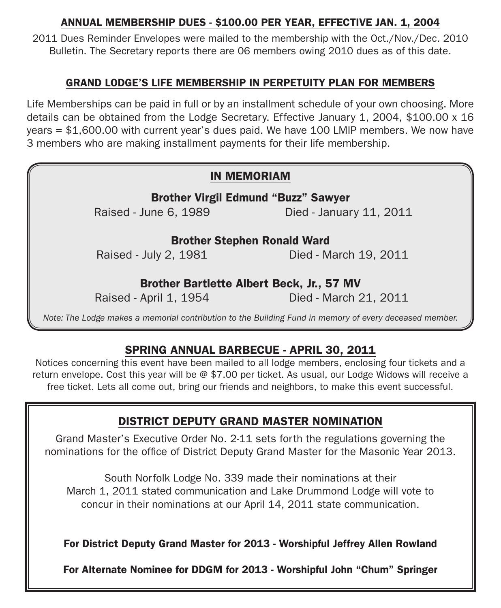#### ANNUAL MEMBERSHIP DUES - \$100.00 PER YEAR, EFFECTIVE JAN. 1, 2004

2011 Dues Reminder Envelopes were mailed to the membership with the Oct./Nov./Dec. 2010 Bulletin. The Secretary reports there are 06 members owing 2010 dues as of this date.

### GRAND LODGE'S LIFE MEMBERSHIP IN PERPETUITY PLAN FOR MEMBERS

Life Memberships can be paid in full or by an installment schedule of your own choosing. More details can be obtained from the Lodge Secretary. Effective January 1, 2004, \$100.00 x 16 years = \$1,600.00 with current year's dues paid. We have 100 LMIP members. We now have 3 members who are making installment payments for their life membership.

## IN MEMORIAM

Brother Virgil Edmund "Buzz" Sawyer Raised - June 6, 1989 Died - January 11, 2011

## Brother Stephen Ronald Ward

Raised - July 2, 1981 **Died - March 19, 2011** 

### Brother Bartlette Albert Beck, Jr., 57 MV

Raised - April 1, 1954 Died - March 21, 2011

*Note: The Lodge makes a memorial contribution to the Building Fund in memory of every deceased member.*

# SPRING ANNUAL BARBECUE - APRIL 30, 2011

Notices concerning this event have been mailed to all lodge members, enclosing four tickets and a return envelope. Cost this year will be @ \$7.00 per ticket. As usual, our Lodge Widows will receive a free ticket. Lets all come out, bring our friends and neighbors, to make this event successful.

# District deputy grand master nomination

Grand Master's Executive Order No. 2-11 sets forth the regulations governing the nominations for the office of District Deputy Grand Master for the Masonic Year 2013.

South Norfolk Lodge No. 339 made their nominations at their March 1, 2011 stated communication and Lake Drummond Lodge will vote to concur in their nominations at our April 14, 2011 state communication.

For District Deputy Grand Master for 2013 - Worshipful Jeffrey Allen Rowland

For Alternate Nominee for DDGM for 2013 - Worshipful John "Chum" Springer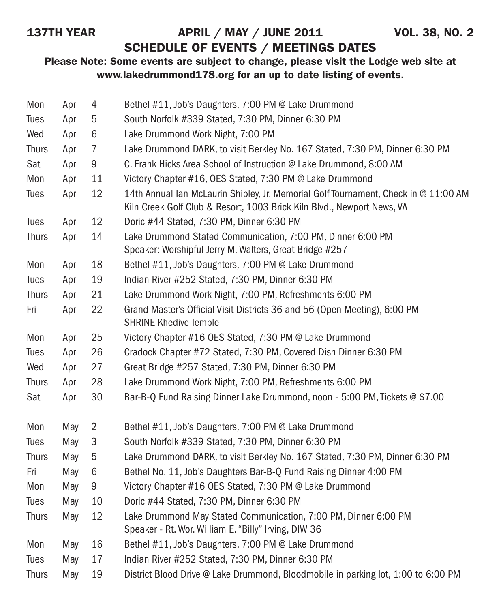# 137TH YEAR **APRIL / MAY / JUNE 2011** VOL. 38, NO. 2

# SCHEDULE OF EVENTS / MEETINGS DATES

## Please Note: Some events are subject to change, please visit the Lodge web site at www.lakedrummond178.org for an up to date listing of events.

| Mon          | Apr | 4              | Bethel #11, Job's Daughters, 7:00 PM @ Lake Drummond                                                                                                          |
|--------------|-----|----------------|---------------------------------------------------------------------------------------------------------------------------------------------------------------|
| Tues         | Apr | 5              | South Norfolk #339 Stated, 7:30 PM, Dinner 6:30 PM                                                                                                            |
| Wed          | Apr | 6              | Lake Drummond Work Night, 7:00 PM                                                                                                                             |
| <b>Thurs</b> | Apr | $\overline{7}$ | Lake Drummond DARK, to visit Berkley No. 167 Stated, 7:30 PM, Dinner 6:30 PM                                                                                  |
| Sat          | Apr | 9              | C. Frank Hicks Area School of Instruction @ Lake Drummond, 8:00 AM                                                                                            |
| Mon          | Apr | 11             | Victory Chapter #16, OES Stated, 7:30 PM @ Lake Drummond                                                                                                      |
| Tues         | Apr | 12             | 14th Annual Ian McLaurin Shipley, Jr. Memorial Golf Tournament, Check in @ 11:00 AM<br>Kiln Creek Golf Club & Resort, 1003 Brick Kiln Blvd., Newport News, VA |
| Tues         | Apr | 12             | Doric #44 Stated, 7:30 PM, Dinner 6:30 PM                                                                                                                     |
| <b>Thurs</b> | Apr | 14             | Lake Drummond Stated Communication, 7:00 PM, Dinner 6:00 PM<br>Speaker: Worshipful Jerry M. Walters, Great Bridge #257                                        |
| Mon          | Apr | 18             | Bethel #11, Job's Daughters, 7:00 PM @ Lake Drummond                                                                                                          |
| Tues         | Apr | 19             | Indian River #252 Stated, 7:30 PM, Dinner 6:30 PM                                                                                                             |
| <b>Thurs</b> | Apr | 21             | Lake Drummond Work Night, 7:00 PM, Refreshments 6:00 PM                                                                                                       |
| Fri          | Apr | 22             | Grand Master's Official Visit Districts 36 and 56 (Open Meeting), 6:00 PM<br><b>SHRINE Khedive Temple</b>                                                     |
| Mon          | Apr | 25             | Victory Chapter #16 OES Stated, 7:30 PM @ Lake Drummond                                                                                                       |
| Tues         | Apr | 26             | Cradock Chapter #72 Stated, 7:30 PM, Covered Dish Dinner 6:30 PM                                                                                              |
| Wed          | Apr | 27             | Great Bridge #257 Stated, 7:30 PM, Dinner 6:30 PM                                                                                                             |
| <b>Thurs</b> | Apr | 28             | Lake Drummond Work Night, 7:00 PM, Refreshments 6:00 PM                                                                                                       |
| Sat          | Apr | 30             | Bar-B-Q Fund Raising Dinner Lake Drummond, noon - 5:00 PM, Tickets @ \$7.00                                                                                   |
| Mon          | May | $\overline{2}$ | Bethel #11, Job's Daughters, 7:00 PM @ Lake Drummond                                                                                                          |
| <b>Tues</b>  | May | 3              | South Norfolk #339 Stated, 7:30 PM, Dinner 6:30 PM                                                                                                            |
| <b>Thurs</b> | May | 5              | Lake Drummond DARK, to visit Berkley No. 167 Stated, 7:30 PM, Dinner 6:30 PM                                                                                  |
| Fri          | May | 6              | Bethel No. 11, Job's Daughters Bar-B-Q Fund Raising Dinner 4:00 PM                                                                                            |
| Mon          | May | 9              | Victory Chapter #16 OES Stated, 7:30 PM @ Lake Drummond                                                                                                       |
| Tues         | May | 10             | Doric #44 Stated, 7:30 PM, Dinner 6:30 PM                                                                                                                     |
| <b>Thurs</b> | May | 12             | Lake Drummond May Stated Communication, 7:00 PM, Dinner 6:00 PM<br>Speaker - Rt. Wor. William E. "Billy" Irving, DIW 36                                       |
| Mon          | May | 16             | Bethel #11, Job's Daughters, 7:00 PM @ Lake Drummond                                                                                                          |
| Tues         | May | 17             | Indian River #252 Stated, 7:30 PM, Dinner 6:30 PM                                                                                                             |
| <b>Thurs</b> | May | 19             | District Blood Drive @ Lake Drummond, Bloodmobile in parking lot, 1:00 to 6:00 PM                                                                             |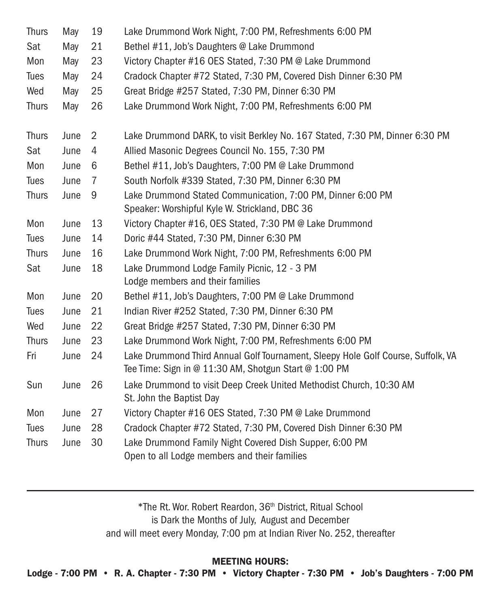| <b>Thurs</b> | May  | 19             | Lake Drummond Work Night, 7:00 PM, Refreshments 6:00 PM                                                                                   |
|--------------|------|----------------|-------------------------------------------------------------------------------------------------------------------------------------------|
| Sat          | May  | 21             | Bethel #11, Job's Daughters @ Lake Drummond                                                                                               |
| Mon          | May  | 23             | Victory Chapter #16 OES Stated, 7:30 PM @ Lake Drummond                                                                                   |
| <b>Tues</b>  | May  | 24             | Cradock Chapter #72 Stated, 7:30 PM, Covered Dish Dinner 6:30 PM                                                                          |
| Wed          | May  | 25             | Great Bridge #257 Stated, 7:30 PM, Dinner 6:30 PM                                                                                         |
| <b>Thurs</b> | May  | 26             | Lake Drummond Work Night, 7:00 PM, Refreshments 6:00 PM                                                                                   |
| <b>Thurs</b> | June | $\overline{2}$ | Lake Drummond DARK, to visit Berkley No. 167 Stated, 7:30 PM, Dinner 6:30 PM                                                              |
| Sat          | June | 4              | Allied Masonic Degrees Council No. 155, 7:30 PM                                                                                           |
| Mon          | June | 6              | Bethel #11, Job's Daughters, 7:00 PM @ Lake Drummond                                                                                      |
| Tues         | June | $\overline{7}$ | South Norfolk #339 Stated, 7:30 PM, Dinner 6:30 PM                                                                                        |
| <b>Thurs</b> | June | 9              | Lake Drummond Stated Communication, 7:00 PM, Dinner 6:00 PM<br>Speaker: Worshipful Kyle W. Strickland, DBC 36                             |
| Mon          | June | 13             | Victory Chapter #16, OES Stated, 7:30 PM @ Lake Drummond                                                                                  |
| Tues         | June | 14             | Doric #44 Stated, 7:30 PM, Dinner 6:30 PM                                                                                                 |
| <b>Thurs</b> | June | 16             | Lake Drummond Work Night, 7:00 PM, Refreshments 6:00 PM                                                                                   |
| Sat          | June | 18             | Lake Drummond Lodge Family Picnic, 12 - 3 PM                                                                                              |
|              |      |                | Lodge members and their families                                                                                                          |
| Mon          | June | 20             | Bethel #11, Job's Daughters, 7:00 PM @ Lake Drummond                                                                                      |
| Tues         | June | 21             | Indian River #252 Stated, 7:30 PM, Dinner 6:30 PM                                                                                         |
| Wed          | June | 22             | Great Bridge #257 Stated, 7:30 PM, Dinner 6:30 PM                                                                                         |
| <b>Thurs</b> | June | 23             | Lake Drummond Work Night, 7:00 PM, Refreshments 6:00 PM                                                                                   |
| Fri          | June | 24             | Lake Drummond Third Annual Golf Tournament, Sleepy Hole Golf Course, Suffolk, VA<br>Tee Time: Sign in @ 11:30 AM, Shotgun Start @ 1:00 PM |
| Sun          | June | 26             | Lake Drummond to visit Deep Creek United Methodist Church, 10:30 AM<br>St. John the Baptist Day                                           |
| Mon          | June | 27             | Victory Chapter #16 OES Stated, 7:30 PM @ Lake Drummond                                                                                   |
| Tues         | June | 28             | Cradock Chapter #72 Stated, 7:30 PM, Covered Dish Dinner 6:30 PM                                                                          |
| <b>Thurs</b> | June | 30             | Lake Drummond Family Night Covered Dish Supper, 6:00 PM<br>Open to all Lodge members and their families                                   |

\*The Rt. Wor. Robert Reardon, 36th District, Ritual School is Dark the Months of July, August and December and will meet every Monday, 7:00 pm at Indian River No. 252, thereafter

MEETING HOURS:

Lodge - 7:00 PM • R. A. Chapter - 7:30 PM • Victory Chapter - 7:30 PM • Job's Daughters - 7:00 PM